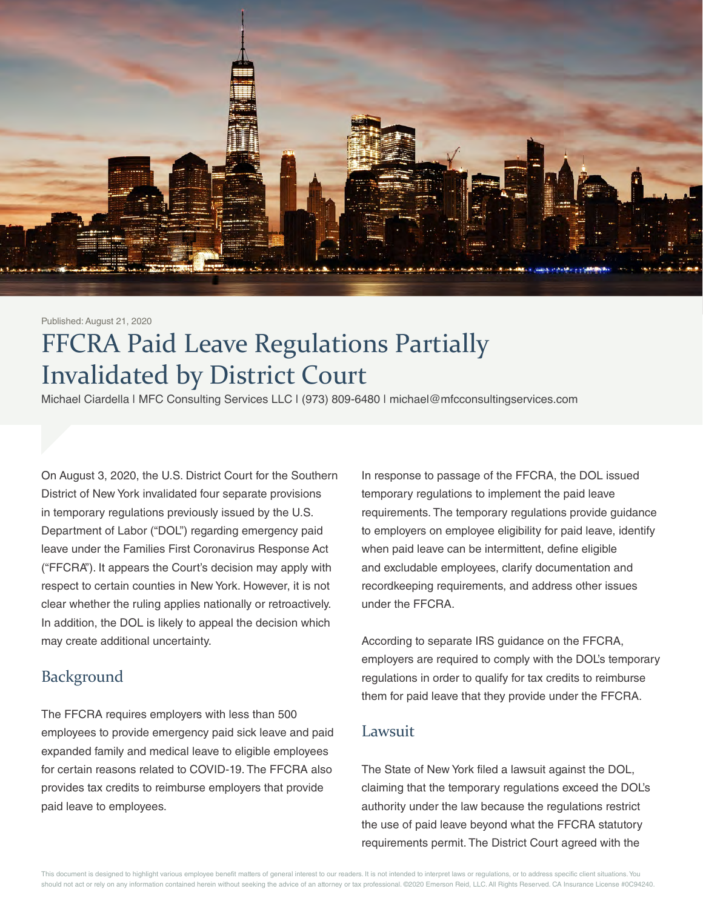

#### Published: August 21, 2020

# FFCRA Paid Leave Regulations Partially Invalidated by District Court

Michael Ciardella | MFC Consulting Services LLC | (973) 809-6480 | michael@mfcconsultingservices.com

On August 3, 2020, the U.S. District Court for the Southern District of New York invalidated four separate provisions in temporary regulations previously issued by the U.S. Department of Labor ("DOL") regarding emergency paid leave under the Families First Coronavirus Response Act ("FFCRA"). It appears the Court's decision may apply with respect to certain counties in New York. However, it is not clear whether the ruling applies nationally or retroactively. In addition, the DOL is likely to appeal the decision which may create additional uncertainty.

#### Background

The FFCRA requires employers with less than 500 employees to provide emergency paid sick leave and paid expanded family and medical leave to eligible employees for certain reasons related to COVID-19. The FFCRA also provides tax credits to reimburse employers that provide paid leave to employees.

In response to passage of the FFCRA, the DOL issued temporary regulations to implement the paid leave requirements. The temporary regulations provide guidance to employers on employee eligibility for paid leave, identify when paid leave can be intermittent, define eligible and excludable employees, clarify documentation and recordkeeping requirements, and address other issues under the FFCRA.

According to separate IRS guidance on the FFCRA, employers are required to comply with the DOL's temporary regulations in order to qualify for tax credits to reimburse them for paid leave that they provide under the FFCRA.

#### Lawsuit

The State of New York filed a lawsuit against the DOL, claiming that the temporary regulations exceed the DOL's authority under the law because the regulations restrict the use of paid leave beyond what the FFCRA statutory requirements permit. The District Court agreed with the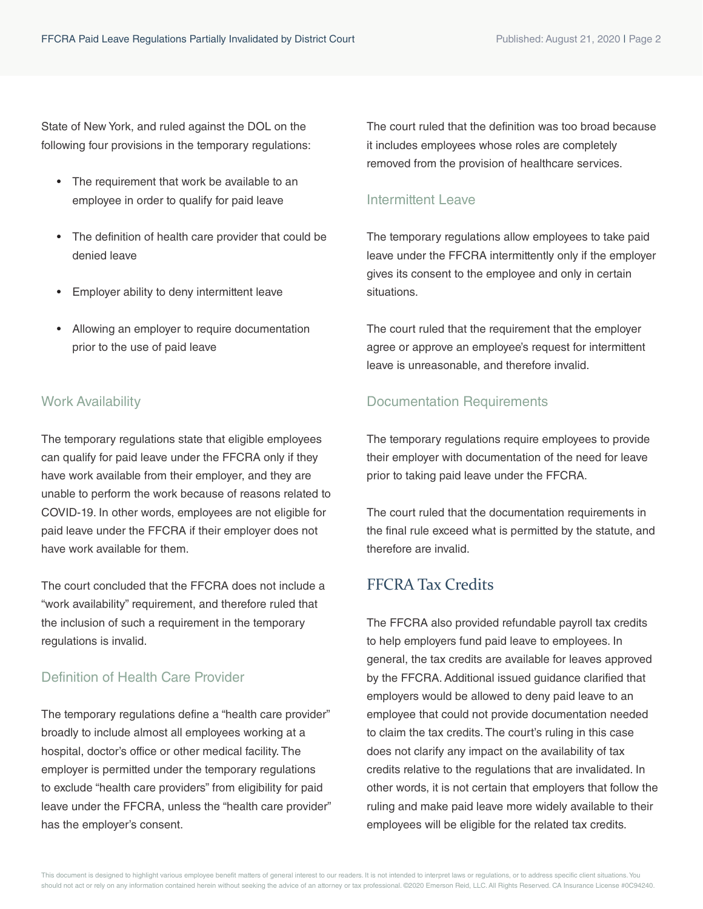State of New York, and ruled against the DOL on the following four provisions in the temporary regulations:

- The requirement that work be available to an employee in order to qualify for paid leave
- The definition of health care provider that could be denied leave
- Employer ability to deny intermittent leave
- Allowing an employer to require documentation prior to the use of paid leave

#### Work Availability

The temporary regulations state that eligible employees can qualify for paid leave under the FFCRA only if they have work available from their employer, and they are unable to perform the work because of reasons related to COVID-19. In other words, employees are not eligible for paid leave under the FFCRA if their employer does not have work available for them.

The court concluded that the FFCRA does not include a "work availability" requirement, and therefore ruled that the inclusion of such a requirement in the temporary regulations is invalid.

#### Definition of Health Care Provider

The temporary regulations define a "health care provider" broadly to include almost all employees working at a hospital, doctor's office or other medical facility. The employer is permitted under the temporary regulations to exclude "health care providers" from eligibility for paid leave under the FFCRA, unless the "health care provider" has the employer's consent.

The court ruled that the definition was too broad because it includes employees whose roles are completely removed from the provision of healthcare services.

#### Intermittent Leave

The temporary regulations allow employees to take paid leave under the FFCRA intermittently only if the employer gives its consent to the employee and only in certain situations.

The court ruled that the requirement that the employer agree or approve an employee's request for intermittent leave is unreasonable, and therefore invalid.

#### Documentation Requirements

The temporary regulations require employees to provide their employer with documentation of the need for leave prior to taking paid leave under the FFCRA.

The court ruled that the documentation requirements in the final rule exceed what is permitted by the statute, and therefore are invalid.

## FFCRA Tax Credits

The FFCRA also provided refundable payroll tax credits to help employers fund paid leave to employees. In general, the tax credits are available for leaves approved by the FFCRA. Additional issued guidance clarified that employers would be allowed to deny paid leave to an employee that could not provide documentation needed to claim the tax credits. The court's ruling in this case does not clarify any impact on the availability of tax credits relative to the regulations that are invalidated. In other words, it is not certain that employers that follow the ruling and make paid leave more widely available to their employees will be eligible for the related tax credits.